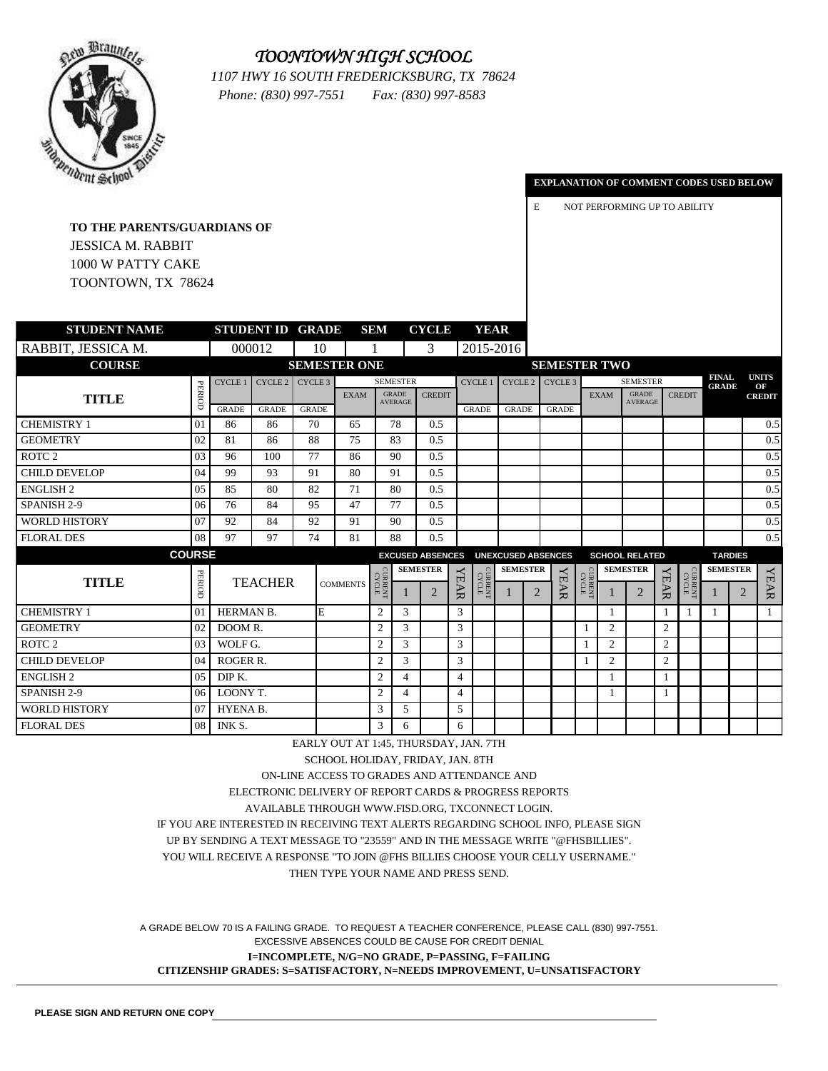### *TOONTOWN HIGH SCHOOL*



*1107 HWY 16 SOUTH FREDERICKSBURG, TX 78624 Phone: (830) 997-7551 Fax: (830) 997-8583*

#### **EXPLANATION OF COMMENT CODES USED BELOW**

E NOT PERFORMING UP TO ABILITY

**TO THE PARENTS/GUARDIANS OF** JESSICA M. RABBIT 1000 W PATTY CAKE TOONTOWN, TX 78624

| <b>STUDENT NAME</b>  |                 |                    |                | <b>STUDENT ID GRADE</b> |                 | <b>SEM</b>     |                                | <b>CYCLE</b>            |                | <b>YEAR</b>            |                           |   |                     |         |              |                                |                |                         |                              |                |                    |
|----------------------|-----------------|--------------------|----------------|-------------------------|-----------------|----------------|--------------------------------|-------------------------|----------------|------------------------|---------------------------|---|---------------------|---------|--------------|--------------------------------|----------------|-------------------------|------------------------------|----------------|--------------------|
| RABBIT, JESSICA M.   |                 |                    | 000012         | 10                      |                 |                |                                | 3                       |                |                        | 2015-2016                 |   |                     |         |              |                                |                |                         |                              |                |                    |
| <b>COURSE</b>        |                 |                    |                | <b>SEMESTER ONE</b>     |                 |                |                                |                         |                |                        |                           |   | <b>SEMESTER TWO</b> |         |              |                                |                |                         |                              |                |                    |
|                      |                 | CYCLE <sub>1</sub> |                | $CYCLE 2$ $CYCLE 3$     |                 |                | <b>SEMESTER</b>                |                         |                | CYCLE 1                |                           |   | $CYCLE 2$ $CYCLE 3$ |         |              | <b>SEMESTER</b>                |                |                         | <b>FINAL</b><br><b>GRADE</b> |                | <b>UNITS</b><br>OF |
| <b>TITLE</b>         | PERIOD          | <b>GRADE</b>       | <b>GRADE</b>   | <b>GRADE</b>            | <b>EXAM</b>     |                | <b>GRADE</b><br><b>AVERAGE</b> | <b>CREDIT</b>           |                | <b>GRADE</b>           | <b>GRADE</b>              |   | <b>GRADE</b>        |         | <b>EXAM</b>  | <b>GRADE</b><br><b>AVERAGE</b> |                | <b>CREDIT</b>           |                              |                | <b>CREDIT</b>      |
| <b>CHEMISTRY 1</b>   | 01              | 86                 | 86             | 70                      | 65              |                | 78                             | 0.5                     |                |                        |                           |   |                     |         |              |                                |                |                         |                              |                | 0.5                |
| <b>GEOMETRY</b>      | 02              | 81                 | 86             | 88                      | 75              |                | 83                             | 0.5                     |                |                        |                           |   |                     |         |              |                                |                |                         |                              |                | 0.5                |
| ROTC <sub>2</sub>    | 03              | 96                 | 100            | 77                      | 86              |                | 90                             | 0.5                     |                |                        |                           |   |                     |         |              |                                |                |                         |                              |                | 0.5                |
| <b>CHILD DEVELOP</b> | 04              | 99                 | 93             | 91                      | 80              |                | 91                             | 0.5                     |                |                        |                           |   |                     |         |              |                                |                |                         |                              |                | 0.5                |
| <b>ENGLISH2</b>      | 05              | 85                 | 80             | 82                      | 71              |                | 80                             | 0.5                     |                |                        |                           |   |                     |         |              |                                |                |                         |                              |                | 0.5                |
| <b>SPANISH 2-9</b>   | 06              | 76                 | 84             | 95                      | 47              |                | 77                             | 0.5                     |                |                        |                           |   |                     |         |              |                                |                |                         |                              |                | 0.5                |
| <b>WORLD HISTORY</b> | 07              | 92                 | 84             | 92                      | 91              |                | 90                             | 0.5                     |                |                        |                           |   |                     |         |              |                                |                |                         |                              |                | 0.5                |
| <b>FLORAL DES</b>    | 08              | 97                 | 97             | 74                      | 81              |                | 88                             | 0.5                     |                |                        |                           |   |                     |         |              |                                |                |                         |                              |                | 0.5                |
| <b>COURSE</b>        |                 |                    |                |                         |                 |                |                                | <b>EXCUSED ABSENCES</b> |                |                        | <b>UNEXCUSED ABSENCES</b> |   |                     |         |              | <b>SCHOOL RELATED</b>          |                |                         | <b>TARDIES</b>               |                |                    |
|                      |                 |                    |                |                         |                 |                |                                | <b>SEMESTER</b>         |                |                        | <b>SEMESTER</b>           |   |                     |         |              | <b>SEMESTER</b>                |                |                         | <b>SEMESTER</b>              |                |                    |
| <b>TITLE</b>         | PERIOD          |                    | <b>TEACHER</b> |                         | <b>COMMENTS</b> | CVCLE<br>CYCLE |                                | $\overline{2}$          | <b>YEAR</b>    | <b>CVRENT</b><br>CYCLE |                           | 2 | <b>YEAR</b>         | CVRRENT |              | $\overline{2}$                 | <b>YEAR</b>    | <b>CURRENT</b><br>CYCLE |                              | $\overline{2}$ | <b>YEAR</b>        |
| <b>CHEMISTRY 1</b>   | 01              | HERMAN B.          |                | E                       |                 | $\overline{2}$ | 3                              |                         | 3              |                        |                           |   |                     |         | 1            |                                |                |                         |                              |                | 1                  |
| <b>GEOMETRY</b>      | 02              | DOOM R.            |                |                         |                 | $\overline{2}$ | 3                              |                         | 3              |                        |                           |   |                     |         | 2            |                                | 2              |                         |                              |                |                    |
| ROTC <sub>2</sub>    | 03              | WOLF G.            |                |                         |                 | $\overline{2}$ | 3                              |                         | 3              |                        |                           |   |                     |         | 2            |                                | $\overline{2}$ |                         |                              |                |                    |
| CHILD DEVELOP        | 04              | <b>ROGER R.</b>    |                |                         |                 | $\overline{2}$ | 3                              |                         | 3              |                        |                           |   |                     |         | 2            |                                | 2              |                         |                              |                |                    |
| <b>ENGLISH 2</b>     | 05 <sup>1</sup> | DIP K.             |                |                         |                 | $\overline{2}$ | $\overline{4}$                 |                         | $\overline{4}$ |                        |                           |   |                     |         | $\mathbf{1}$ |                                |                |                         |                              |                |                    |
| SPANISH 2-9          | 06              | LOONY T.           |                |                         |                 | $\overline{2}$ | $\overline{4}$                 |                         | $\overline{4}$ |                        |                           |   |                     |         | $\mathbf{1}$ |                                |                |                         |                              |                |                    |
| <b>WORLD HISTORY</b> | 07              | HYENA B.           |                |                         |                 | 3              | 5                              |                         | 5              |                        |                           |   |                     |         |              |                                |                |                         |                              |                |                    |
| <b>FLORAL DES</b>    | 08              | INK S.             |                |                         |                 | 3              | 6                              |                         | 6              |                        |                           |   |                     |         |              |                                |                |                         |                              |                |                    |

EARLY OUT AT 1:45, THURSDAY, JAN. 7TH

SCHOOL HOLIDAY, FRIDAY, JAN. 8TH

ON-LINE ACCESS TO GRADES AND ATTENDANCE AND

ELECTRONIC DELIVERY OF REPORT CARDS & PROGRESS REPORTS

AVAILABLE THROUGH WWW.FISD.ORG, TXCONNECT LOGIN.

IF YOU ARE INTERESTED IN RECEIVING TEXT ALERTS REGARDING SCHOOL INFO, PLEASE SIGN

UP BY SENDING A TEXT MESSAGE TO "23559" AND IN THE MESSAGE WRITE "@FHSBILLIES".

YOU WILL RECEIVE A RESPONSE "TO JOIN @FHS BILLIES CHOOSE YOUR CELLY USERNAME."

THEN TYPE YOUR NAME AND PRESS SEND.

A GRADE BELOW 70 IS A FAILING GRADE. TO REQUEST A TEACHER CONFERENCE, PLEASE CALL (830) 997-7551. EXCESSIVE ABSENCES COULD BE CAUSE FOR CREDIT DENIAL **I=INCOMPLETE, N/G=NO GRADE, P=PASSING, F=FAILING CITIZENSHIP GRADES: S=SATISFACTORY, N=NEEDS IMPROVEMENT, U=UNSATISFACTORY**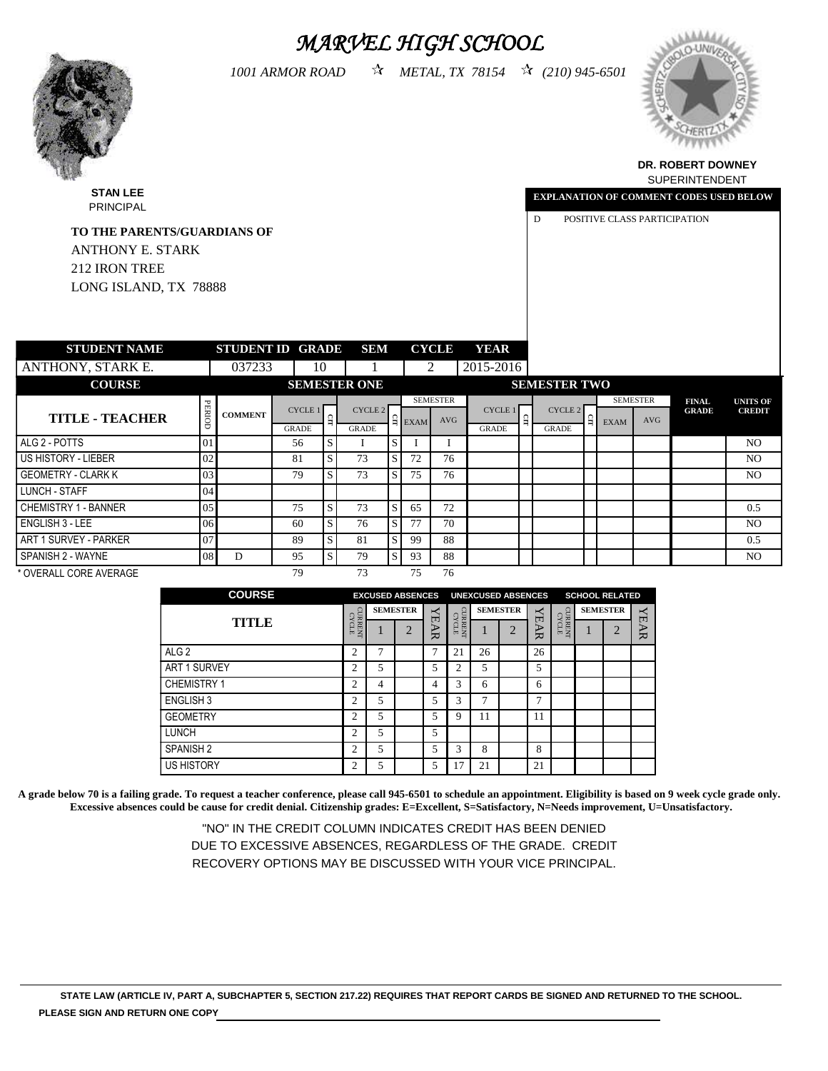# *MARVEL HIGH SCHOOL*

*1001 ARMOR ROAD METAL, TX 78154 (210) 945-6501*



PRINCIPAL



#### **DR. ROBERT DOWNEY** SUPERINTENDENT

**UNITS OF CREDIT**

**EXPLANATION OF COMMENT CODES USED BELOW**

D POSITIVE CLASS PARTICIPATION

| <b>TO THE PARENTS/GUARDIANS OF</b> |        |                         |              |              |                     |   |                    |                 |                |       |                     |          |             |                 |                              |                             |
|------------------------------------|--------|-------------------------|--------------|--------------|---------------------|---|--------------------|-----------------|----------------|-------|---------------------|----------|-------------|-----------------|------------------------------|-----------------------------|
| ANTHONY E. STARK                   |        |                         |              |              |                     |   |                    |                 |                |       |                     |          |             |                 |                              |                             |
| 212 IRON TREE                      |        |                         |              |              |                     |   |                    |                 |                |       |                     |          |             |                 |                              |                             |
| LONG ISLAND, TX 78888              |        |                         |              |              |                     |   |                    |                 |                |       |                     |          |             |                 |                              |                             |
|                                    |        |                         |              |              |                     |   |                    |                 |                |       |                     |          |             |                 |                              |                             |
| <b>STUDENT NAME</b>                |        | <b>STUDENT ID GRADE</b> |              |              | <b>SEM</b>          |   |                    | <b>CYCLE</b>    | <b>YEAR</b>    |       |                     |          |             |                 |                              |                             |
| ANTHONY, STARK E.                  |        | 037233                  | 10           |              |                     |   |                    | 2               | 2015-2016      |       |                     |          |             |                 |                              |                             |
| <b>COURSE</b>                      |        |                         |              |              | <b>SEMESTER ONE</b> |   |                    |                 |                |       | <b>SEMESTER TWO</b> |          |             |                 |                              |                             |
|                                    |        |                         | CYCLE 1      |              | CYCLE 2             |   |                    | <b>SEMESTER</b> | <b>CYCLE 1</b> |       | CYCLE 2             |          |             | <b>SEMESTER</b> | <b>FINAL</b><br><b>GRADE</b> | <b>UNITS</b><br><b>CRED</b> |
| <b>TITLE - TEACHER</b>             | PERIOD | <b>COMMENT</b>          | <b>GRADE</b> | $\mathbf{a}$ | <b>GRADE</b>        |   | $\frac{6}{2}$ EXAM | <b>AVG</b>      | <b>GRADE</b>   | $\Xi$ | <b>GRADE</b>        | $\Omega$ | <b>EXAM</b> | AVG             |                              |                             |
| ALG 2 - POTTS                      | 01     |                         | 56           | S            | 1                   | S |                    | I               |                |       |                     |          |             |                 |                              | N <sub>C</sub>              |
| US HISTORY - LIEBER                | 02     |                         | 81           | S            | 73                  | S | 72                 | 76              |                |       |                     |          |             |                 |                              | NC                          |
| <b>GEOMETRY - CLARK K</b>          | 03     |                         | 79           | S.           | 73                  | S | 75                 | 76              |                |       |                     |          |             |                 |                              | NC                          |
| LUNCH - STAFF                      | 04     |                         |              |              |                     |   |                    |                 |                |       |                     |          |             |                 |                              |                             |
| <b>CHEMISTRY 1 - BANNER</b>        | 05     |                         | 75           | S            | 73                  | S | 65                 | 72              |                |       |                     |          |             |                 |                              | 0.5                         |
| ENGLISH 3 - LEE                    | 06     |                         | 60           | S.           | 76                  | S | 77                 | 70              |                |       |                     |          |             |                 |                              | NC                          |
| ART 1 SURVEY - PARKER              | 07     |                         | 89           | S            | 81                  | S | 99                 | 88              |                |       |                     |          |             |                 |                              | 0.5                         |

\* OVERALL CORE AVERAGE 79 73 75 76

SPANISH 2 - WAYNE 08 D 95 S 79 S 93 88 NO

| <b>COURSE</b>        |                         | <b>EXCUSED ABSENCES</b> |                 |             |                      | <b>UNEXCUSED ABSENCES</b> |                 |        |                         | <b>SCHOOL RELATED</b> |             |
|----------------------|-------------------------|-------------------------|-----------------|-------------|----------------------|---------------------------|-----------------|--------|-------------------------|-----------------------|-------------|
|                      |                         |                         | <b>SEMESTER</b> |             | CUR                  |                           | <b>SEMESTER</b> | ↢<br>口 |                         | <b>SEMESTER</b>       |             |
| TITLE                | <b>CURRENT</b><br>CYCLE |                         | $\bigcap$       | <b>YEAR</b> | CYCLE<br><b>RENT</b> |                           | $\bigcap$       | ኈ<br>₩ | <b>CURRENT</b><br>CYCLE | $\overline{2}$        | <b>YEAR</b> |
| ALG <sub>2</sub>     | $\overline{c}$          | 7                       |                 | 7           | 21                   | 26                        |                 | 26     |                         |                       |             |
| <b>ART 1 SURVEY</b>  | $\overline{c}$          | 5                       |                 | 5           | ◠<br>∠               | 5                         |                 | 5      |                         |                       |             |
| <b>CHEMISTRY 1</b>   | C                       | 4                       |                 | 4           | 3                    | 6                         |                 | 6      |                         |                       |             |
| <b>ENGLISH 3</b>     | ာ                       | 5                       |                 | 5           | 3                    |                           |                 | ⇁      |                         |                       |             |
| <b>GEOMETRY</b>      | ◠                       | 5                       |                 | 5           | Q                    | 11                        |                 | 11     |                         |                       |             |
| <b>LUNCH</b>         | ◠                       | 5                       |                 | 5           |                      |                           |                 |        |                         |                       |             |
| SPANISH <sub>2</sub> | $\overline{c}$          | 5                       |                 | 5           | 3                    | 8                         |                 | 8      |                         |                       |             |
| <b>US HISTORY</b>    | ◠                       | 5                       |                 | 5           | 7                    | 21                        |                 | 21     |                         |                       |             |

**A grade below 70 is a failing grade. To request a teacher conference, please call 945-6501 to schedule an appointment. Eligibility is based on 9 week cycle grade only. Excessive absences could be cause for credit denial. Citizenship grades: E=Excellent, S=Satisfactory, N=Needs improvement, U=Unsatisfactory.**

> "NO" IN THE CREDIT COLUMN INDICATES CREDIT HAS BEEN DENIED DUE TO EXCESSIVE ABSENCES, REGARDLESS OF THE GRADE. CREDIT RECOVERY OPTIONS MAY BE DISCUSSED WITH YOUR VICE PRINCIPAL.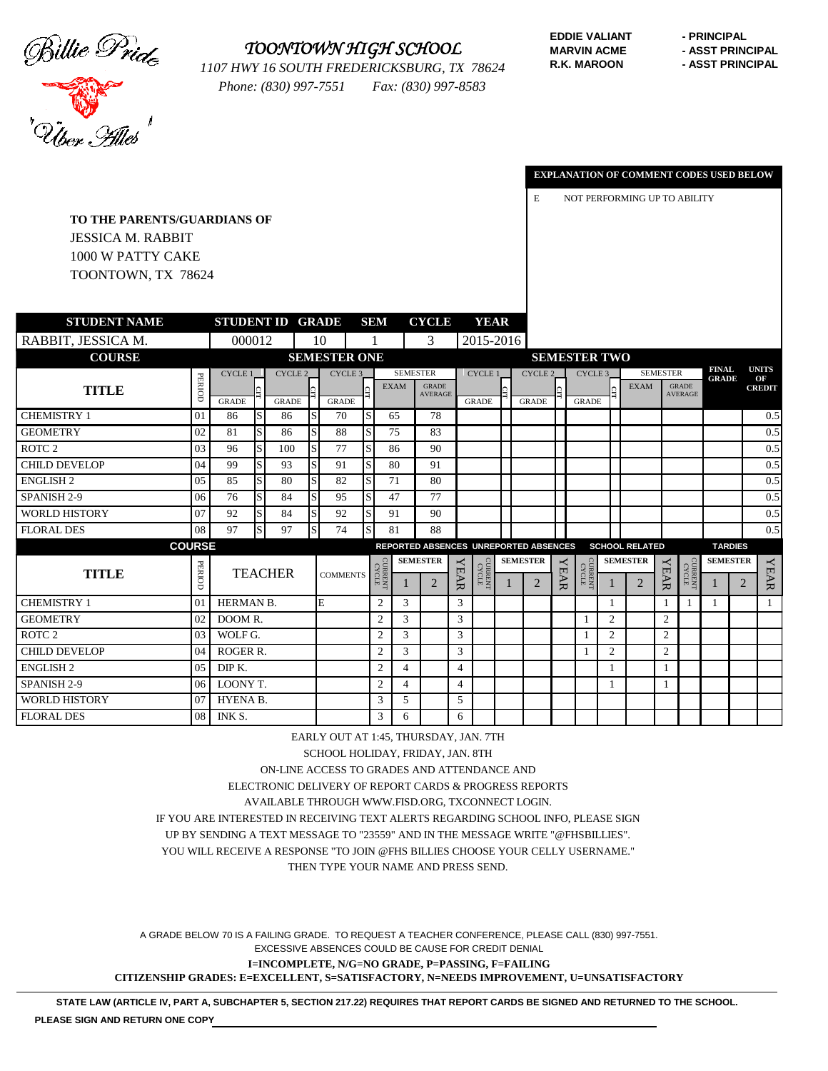

### *TOONTOWN HIGH SCHOOL*

*1107 HWY 16 SOUTH FREDERICKSBURG, TX 78624 Phone: (830) 997-7551 Fax: (830) 997-8583*

**EDDIE VALIANT - PRINCIPAL R.K. MAROON - ASST PRINCIPAL** 

**MARVIN ACME - ASST PRINCIPAL** 

**T CODES USED BELOW** 



|                                    |                         |                     |     |              |             |   | <b>EXPLANATION OF COMMENT CODES U</b> |
|------------------------------------|-------------------------|---------------------|-----|--------------|-------------|---|---------------------------------------|
|                                    |                         |                     |     |              |             | E | NOT PERFORMING UP TO ABILITY          |
| <b>TO THE PARENTS/GUARDIANS OF</b> |                         |                     |     |              |             |   |                                       |
| <b>JESSICA M. RABBIT</b>           |                         |                     |     |              |             |   |                                       |
| 1000 W PATTY CAKE                  |                         |                     |     |              |             |   |                                       |
| TOONTOWN, TX 78624                 |                         |                     |     |              |             |   |                                       |
|                                    |                         |                     |     |              |             |   |                                       |
| STUDENT NAME                       | <b>STUDENT ID GRADE</b> |                     | SEM | <b>CYCLE</b> | <b>YEAR</b> |   |                                       |
|                                    |                         |                     |     |              |             |   |                                       |
| ., JESSICA M.                      | 000012                  | 10                  |     | 3            | 2015-2016   |   |                                       |
| <b>COURSE</b>                      |                         | <b>SEMESTER ONE</b> |     |              |             |   | <b>SEMESTER TWO</b>                   |

| RABBIT, JESSICA M.   |                 | 000012          |              |                |   | 10                  |         |                       |                 | 3                              |                | 2015-2016             |   |                                       |             |                       |              |                       |                 |                                |                              |   |                    |
|----------------------|-----------------|-----------------|--------------|----------------|---|---------------------|---------|-----------------------|-----------------|--------------------------------|----------------|-----------------------|---|---------------------------------------|-------------|-----------------------|--------------|-----------------------|-----------------|--------------------------------|------------------------------|---|--------------------|
| <b>COURSE</b>        |                 |                 |              |                |   | <b>SEMESTER ONE</b> |         |                       |                 |                                |                |                       |   |                                       |             | <b>SEMESTER TWO</b>   |              |                       |                 |                                |                              |   |                    |
|                      |                 | <b>CYCLE 1</b>  |              | CYCLE 2        |   |                     | CYCLE 3 |                       | <b>SEMESTER</b> |                                |                | <b>CYCLE 1</b>        |   | CYCLE 2                               |             | CYCLE 3               |              |                       | <b>SEMESTER</b> |                                | <b>FINAL</b><br><b>GRADE</b> |   | <b>UNITS</b><br>OF |
| <b>TITLE</b>         | PERIOD          | <b>GRADE</b>    |              | <b>GRADE</b>   |   | <b>GRADE</b>        |         |                       | <b>EXAM</b>     | <b>GRADE</b><br><b>AVERAGE</b> |                | <b>GRADE</b>          |   | <b>GRADE</b>                          |             | <b>GRADE</b>          |              | <b>EXAM</b>           |                 | <b>GRADE</b><br><b>AVERAGE</b> |                              |   | <b>CREDIT</b>      |
| <b>CHEMISTRY 1</b>   | 01              | 86              |              | 86             | S | 70                  | S       |                       | 65              | 78                             |                |                       |   |                                       |             |                       |              |                       |                 |                                |                              |   | 0.5                |
| <b>GEOMETRY</b>      | 02              | 81              | S            | 86             | S | 88                  | S       |                       | 75              | 83                             |                |                       |   |                                       |             |                       |              |                       |                 |                                |                              |   | 0.5                |
| ROTC <sub>2</sub>    | 03              | 96              | S            | 100            | S | 77                  | S       |                       | 86              | 90                             |                |                       |   |                                       |             |                       |              |                       |                 |                                |                              |   | 0.5                |
| <b>CHILD DEVELOP</b> | 04              | 99              |              | 93             | S | 91                  | S       |                       | 80              | 91                             |                |                       |   |                                       |             |                       |              |                       |                 |                                |                              |   | 0.5                |
| <b>ENGLISH2</b>      | 0.5             | 85              | S            | 80             | S | 82                  | S       |                       | 71              | 80                             |                |                       |   |                                       |             |                       |              |                       |                 |                                |                              |   | 0.5                |
| SPANISH 2-9          | 06              | 76              | <sub>S</sub> | 84             | S | 95                  | S       |                       | 47              | 77                             |                |                       |   |                                       |             |                       |              |                       |                 |                                |                              |   | 0.5                |
| <b>WORLD HISTORY</b> | 07              | 92              | <sub>S</sub> | 84             | S | 92                  | S       |                       | 91              | 90                             |                |                       |   |                                       |             |                       |              |                       |                 |                                |                              |   | 0.5                |
| <b>FLORAL DES</b>    | 08              | 97              | <sub>S</sub> | 97             |   | 74                  | S       |                       | 81              | 88                             |                |                       |   |                                       |             |                       |              |                       |                 |                                |                              |   | 0.5                |
| <b>COURSE</b>        |                 |                 |              |                |   |                     |         |                       |                 |                                |                |                       |   | REPORTED ABSENCES UNREPORTED ABSENCES |             |                       |              | <b>SCHOOL RELATED</b> |                 |                                | <b>TARDIES</b>               |   |                    |
|                      |                 |                 |              |                |   |                     |         | <b>CYCLE</b><br>CYCLE |                 | <b>SEMESTER</b>                |                |                       |   | <b>SEMESTER</b>                       |             |                       |              | <b>SEMESTER</b>       |                 |                                | <b>SEMESTER</b>              |   |                    |
| <b>TITLE</b>         | PERIOD          |                 |              | <b>TEACHER</b> |   | <b>COMMENTS</b>     |         |                       |                 | 2                              | <b>YEAR</b>    | <b>CYCLE</b><br>CYCLE | 1 | $\overline{2}$                        | <b>YEAR</b> | <b>CYCLE</b><br>CYCLE |              | $\overline{2}$        | <b>YEAR</b>     | <b>CYCLE</b><br>CYCLE          |                              | 2 | <b>YEAR</b>        |
| <b>CHEMISTRY 1</b>   | 01              | HERMAN B.       |              |                |   | E                   |         | $\overline{2}$        | 3               |                                | 3              |                       |   |                                       |             |                       | $\mathbf{1}$ |                       |                 |                                | 1                            |   |                    |
| <b>GEOMETRY</b>      | 02              | DOOM R.         |              |                |   |                     |         | $\overline{c}$        | 3               |                                | 3              |                       |   |                                       |             |                       | 2            |                       | 2               |                                |                              |   |                    |
| ROTC <sub>2</sub>    | 03 <sup>1</sup> | WOLF G.         |              |                |   |                     |         | $\overline{2}$        | 3               |                                | 3              |                       |   |                                       |             |                       | 2            |                       | 2               |                                |                              |   |                    |
| <b>CHILD DEVELOP</b> | 04              | <b>ROGER R.</b> |              |                |   |                     |         | $\overline{2}$        | 3               |                                | 3              |                       |   |                                       |             |                       | 2            |                       | $\overline{2}$  |                                |                              |   |                    |
| <b>ENGLISH2</b>      | 05              | DIP K.          |              |                |   |                     |         | $\overline{2}$        | 4               |                                | $\overline{4}$ |                       |   |                                       |             |                       |              |                       |                 |                                |                              |   |                    |
| SPANISH 2-9          | 06              | LOONY T.        |              |                |   |                     |         | $\overline{2}$        | 4               |                                | $\overline{4}$ |                       |   |                                       |             |                       |              |                       |                 |                                |                              |   |                    |
| <b>WORLD HISTORY</b> | 07              | <b>HYENA B.</b> |              |                |   |                     |         | 3                     | 5.              |                                | 5              |                       |   |                                       |             |                       |              |                       |                 |                                |                              |   |                    |
| <b>FLORAL DES</b>    | 08              | INK S.          |              |                |   |                     |         | 3                     | 6               |                                | 6              |                       |   |                                       |             |                       |              |                       |                 |                                |                              |   |                    |

EARLY OUT AT 1:45, THURSDAY, JAN. 7TH

SCHOOL HOLIDAY, FRIDAY, JAN. 8TH

ON-LINE ACCESS TO GRADES AND ATTENDANCE AND

ELECTRONIC DELIVERY OF REPORT CARDS & PROGRESS REPORTS

AVAILABLE THROUGH WWW.FISD.ORG, TXCONNECT LOGIN.

IF YOU ARE INTERESTED IN RECEIVING TEXT ALERTS REGARDING SCHOOL INFO, PLEASE SIGN

UP BY SENDING A TEXT MESSAGE TO "23559" AND IN THE MESSAGE WRITE "@FHSBILLIES".

YOU WILL RECEIVE A RESPONSE "TO JOIN @FHS BILLIES CHOOSE YOUR CELLY USERNAME."

THEN TYPE YOUR NAME AND PRESS SEND.

A GRADE BELOW 70 IS A FAILING GRADE. TO REQUEST A TEACHER CONFERENCE, PLEASE CALL (830) 997-7551. EXCESSIVE ABSENCES COULD BE CAUSE FOR CREDIT DENIAL

**I=INCOMPLETE, N/G=NO GRADE, P=PASSING, F=FAILING**

**CITIZENSHIP GRADES: E=EXCELLENT, S=SATISFACTORY, N=NEEDS IMPROVEMENT, U=UNSATISFACTORY**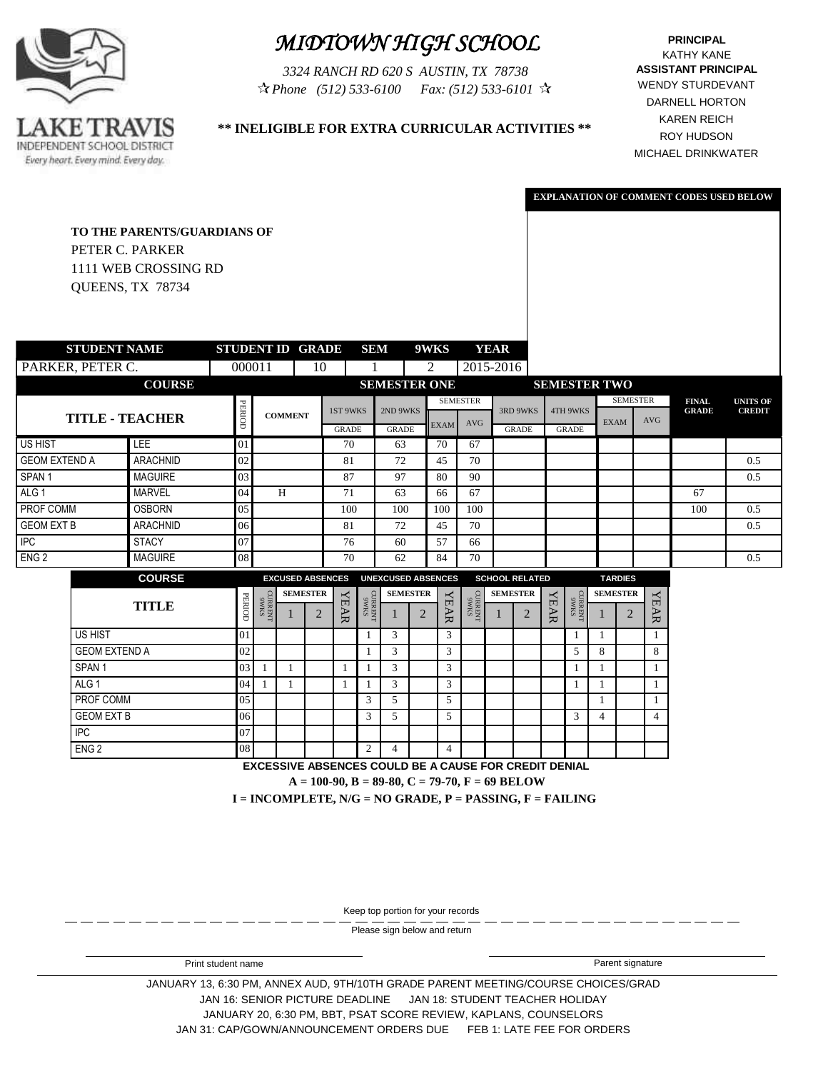

# *MIDTOWN HIGH SCHOOL*

*3324 RANCH RD 620 S AUSTIN, TX 78738 (512) 533-6100 Phone Fax: (512) 533-6101*

KATHY KANE **PRINCIPAL ASSISTANT PRINCIPAL** WENDY STURDEVANT DARNELL HORTON KAREN REICH ROY HUDSON MICHAEL DRINKWATER

> **UNITS OF CREDIT**

**EXPLANATION OF COMMENT CODES USED BELOW**

### **\*\* INELIGIBLE FOR EXTRA CURRICULAR ACTIVITIES \*\***

|                      | <b>TO THE PARENTS/GUARDIANS OF</b><br>PETER C. PARKER<br>1111 WEB CROSSING RD<br>QUEENS, TX 78734 |                         |                                                                                                      |                         |                                   |                 |                                                                                                      |                           |   |             |                                                                          |             |                       |             |                              |                     |                      |             |                              |                             |
|----------------------|---------------------------------------------------------------------------------------------------|-------------------------|------------------------------------------------------------------------------------------------------|-------------------------|-----------------------------------|-----------------|------------------------------------------------------------------------------------------------------|---------------------------|---|-------------|--------------------------------------------------------------------------|-------------|-----------------------|-------------|------------------------------|---------------------|----------------------|-------------|------------------------------|-----------------------------|
|                      | <b>STUDENT NAME</b>                                                                               | <b>STUDENT ID GRADE</b> |                                                                                                      |                         |                                   |                 | <b>SEM</b>                                                                                           |                           |   | 9WKS        |                                                                          | <b>YEAR</b> |                       |             |                              |                     |                      |             |                              |                             |
| PARKER, PETER C.     |                                                                                                   | 000011                  |                                                                                                      |                         | 10                                |                 |                                                                                                      |                           |   | 2           | 2015-2016                                                                |             |                       |             |                              |                     |                      |             |                              |                             |
|                      | <b>COURSE</b>                                                                                     |                         |                                                                                                      |                         |                                   |                 |                                                                                                      | <b>SEMESTER ONE</b>       |   |             |                                                                          |             |                       |             |                              | <b>SEMESTER TWO</b> |                      |             |                              |                             |
|                      |                                                                                                   |                         |                                                                                                      |                         |                                   | 1ST 9WKS        |                                                                                                      | 2ND 9WKS                  |   |             | <b>SEMESTER</b>                                                          |             | 3RD 9WKS              |             | <b>4TH 9WKS</b>              |                     | <b>SEMESTER</b>      |             | <b>FINAL</b><br><b>GRADE</b> | <b>UNITS</b><br><b>CREI</b> |
|                      | <b>TITLE - TEACHER</b>                                                                            | PERIOD                  |                                                                                                      | <b>COMMENT</b>          |                                   | <b>GRADE</b>    |                                                                                                      | <b>GRADE</b>              |   | <b>EXAM</b> | <b>AVG</b>                                                               |             | <b>GRADE</b>          |             | <b>GRADE</b>                 |                     | <b>EXAM</b>          | <b>AVG</b>  |                              |                             |
| <b>US HIST</b>       | <b>LEE</b>                                                                                        | 01                      |                                                                                                      |                         |                                   | 70              |                                                                                                      | 63                        |   | 70          | 67                                                                       |             |                       |             |                              |                     |                      |             |                              |                             |
| <b>GEOM EXTEND A</b> | <b>ARACHNID</b>                                                                                   | 02                      |                                                                                                      |                         |                                   | 81              |                                                                                                      | 72                        |   | 45          | 70                                                                       |             |                       |             |                              |                     |                      |             |                              | 0.5                         |
| SPAN <sub>1</sub>    | <b>MAGUIRE</b>                                                                                    | 03                      |                                                                                                      |                         |                                   | 87              |                                                                                                      | 97                        |   | 80          | 90                                                                       |             |                       |             |                              |                     |                      |             |                              | 0.5                         |
| ALG <sub>1</sub>     | <b>MARVEL</b>                                                                                     | 04                      |                                                                                                      | H                       |                                   | 71              |                                                                                                      | 63                        |   | 66          | 67                                                                       |             |                       |             |                              |                     |                      |             | 67                           |                             |
| PROF COMM            | <b>OSBORN</b>                                                                                     | 05                      |                                                                                                      |                         |                                   | 100             |                                                                                                      | 100                       |   | 100         | 100                                                                      |             |                       |             |                              |                     |                      |             | 100                          | 0.5                         |
| <b>GEOM EXT B</b>    | <b>ARACHNID</b>                                                                                   | 06                      |                                                                                                      |                         |                                   | 81              |                                                                                                      | 72                        |   | 45          | 70                                                                       |             |                       |             |                              |                     |                      |             |                              | 0.5                         |
| $\overline{PC}$      | <b>STACY</b>                                                                                      | 07                      |                                                                                                      |                         |                                   | 76              |                                                                                                      | 60                        |   | 57          | 66                                                                       |             |                       |             |                              |                     |                      |             |                              |                             |
| ENG <sub>2</sub>     | <b>MAGUIRE</b>                                                                                    | 08                      |                                                                                                      |                         |                                   | 70              |                                                                                                      | 62                        |   | 84          | 70                                                                       |             |                       |             |                              |                     |                      |             |                              | 0.5                         |
|                      | <b>COURSE</b>                                                                                     |                         |                                                                                                      | <b>EXCUSED ABSENCES</b> |                                   |                 |                                                                                                      | <b>UNEXCUSED ABSENCES</b> |   |             |                                                                          |             | <b>SCHOOL RELATED</b> |             |                              |                     | <b>TARDIES</b>       |             |                              |                             |
|                      | <b>TITLE</b>                                                                                      | PERIOD                  | $\begin{array}{l} \text{S}{\rm M}{\rm M}{\rm S} \\ \text{N}{\rm H}{\rm M}{\rm M}{\rm D} \end{array}$ |                         | <b>SEMESTER</b><br>$\overline{2}$ | ≺<br><b>EAR</b> | $\begin{array}{c} \text{S}{\bf M}{\bf K}{\bf S} \\ \text{N}{\bf H}{\bf M}{\bf K}{\bf D} \end{array}$ | <b>SEMESTER</b>           | 2 | <b>YEAR</b> | $\begin{array}{c} \text{S}{\rm M6}\\ \text{M}{\rm H}{\rm N} \end{array}$ |             | <b>SEMESTER</b><br>2  | <b>YEAR</b> | $\frac{\rm SMM6}{\rm NHBMD}$ |                     | <b>SEMESTER</b><br>2 | <b>YEAR</b> |                              |                             |
|                      | <b>US HIST</b>                                                                                    | 01                      |                                                                                                      |                         |                                   |                 | 1                                                                                                    | 3                         |   | 3           |                                                                          |             |                       |             | 1                            | 1                   |                      | 1           |                              |                             |
|                      | <b>GEOM EXTEND A</b>                                                                              | 02                      |                                                                                                      |                         |                                   |                 |                                                                                                      | 3                         |   | 3           |                                                                          |             |                       |             | 5                            | 8                   |                      | 8           |                              |                             |

SPAN 1 03 1 1 1 1 3 3 3 1 1 1 1 1 1 1 ALG 1 04 1 1 1 1 3 3 3 1 1 1 1 1 1 1 PROF COMM 05 05 1 3 5 5 5 1 1 1 1 1 GEOM EXT B  $06$  | | | | 3 | 5 | | | | | | | | | | | 3 | 4 | | | 4

Keep top portion for your records

**EXCESSIVE ABSENCES COULD BE A CAUSE FOR CREDIT DENIAL**

**I = INCOMPLETE, N/G = NO GRADE, P = PASSING, F = FAILING A = 100-90, B = 89-80, C = 79-70, F = 69 BELOW**

Please sign below and return

ENG 2 2 4 4 4

IPC 07

JANUARY 13, 6:30 PM, ANNEX AUD, 9TH/10TH GRADE PARENT MEETING/COURSE CHOICES/GRAD JAN 16: SENIOR PICTURE DEADLINE JAN 18: STUDENT TEACHER HOLIDAY JANUARY 20, 6:30 PM, BBT, PSAT SCORE REVIEW, KAPLANS, COUNSELORS JAN 31: CAP/GOWN/ANNOUNCEMENT ORDERS DUE FEB 1: LATE FEE FOR ORDERS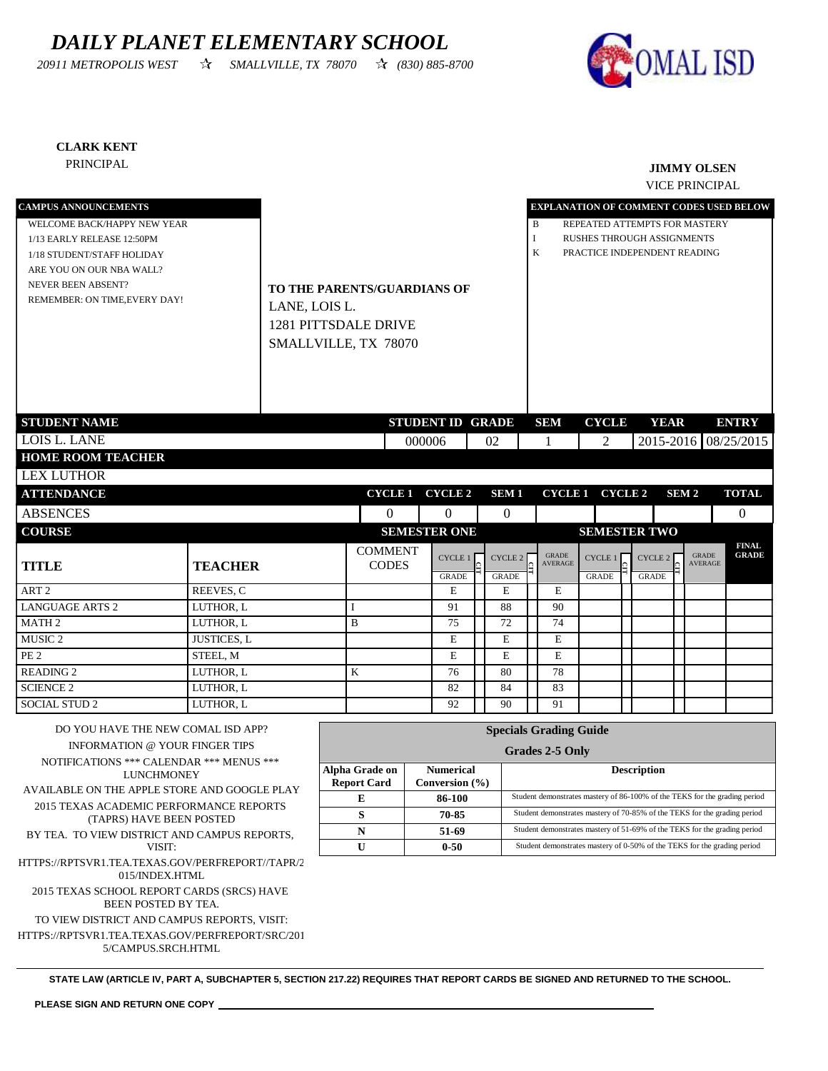## *DAILY PLANET ELEMENTARY SCHOOL*

*20911 METROPOLIS WEST SMALLVILLE, TX 78070 (830) 885-8700*



#### **CLARK KENT**

### PRINCIPAL **JIMMY OLSEN**

VICE PRINCIPAL

| <b>CAMPUS ANNOUNCEMENTS</b>                                        |                       |                             |        |                         |    |                  |                               | EXPLANATION OF COMMENT CODES USED BELOW                                    |                    |                  |                                |                      |
|--------------------------------------------------------------------|-----------------------|-----------------------------|--------|-------------------------|----|------------------|-------------------------------|----------------------------------------------------------------------------|--------------------|------------------|--------------------------------|----------------------|
| WELCOME BACK/HAPPY NEW YEAR                                        |                       |                             |        |                         |    |                  | B                             | REPEATED ATTEMPTS FOR MASTERY                                              |                    |                  |                                |                      |
| 1/13 EARLY RELEASE 12:50PM                                         |                       |                             |        |                         |    |                  | I                             | <b>RUSHES THROUGH ASSIGNMENTS</b>                                          |                    |                  |                                |                      |
| 1/18 STUDENT/STAFF HOLIDAY                                         |                       |                             |        |                         |    |                  | K                             | PRACTICE INDEPENDENT READING                                               |                    |                  |                                |                      |
| ARE YOU ON OUR NBA WALL?                                           |                       |                             |        |                         |    |                  |                               |                                                                            |                    |                  |                                |                      |
| <b>NEVER BEEN ABSENT?</b>                                          |                       | TO THE PARENTS/GUARDIANS OF |        |                         |    |                  |                               |                                                                            |                    |                  |                                |                      |
| REMEMBER: ON TIME, EVERY DAY!                                      | LANE, LOIS L.         |                             |        |                         |    |                  |                               |                                                                            |                    |                  |                                |                      |
|                                                                    |                       | 1281 PITTSDALE DRIVE        |        |                         |    |                  |                               |                                                                            |                    |                  |                                |                      |
|                                                                    |                       | SMALLVILLE, TX 78070        |        |                         |    |                  |                               |                                                                            |                    |                  |                                |                      |
|                                                                    |                       |                             |        |                         |    |                  |                               |                                                                            |                    |                  |                                |                      |
|                                                                    |                       |                             |        |                         |    |                  |                               |                                                                            |                    |                  |                                |                      |
|                                                                    |                       |                             |        |                         |    |                  |                               |                                                                            |                    |                  |                                |                      |
|                                                                    |                       |                             |        |                         |    |                  |                               |                                                                            |                    |                  |                                |                      |
| <b>STUDENT NAME</b>                                                |                       |                             |        | <b>STUDENT ID GRADE</b> |    |                  | <b>SEM</b>                    | <b>CYCLE</b>                                                               |                    | <b>YEAR</b>      |                                | <b>ENTRY</b>         |
| <b>LOIS L. LANE</b>                                                |                       |                             | 000006 |                         | 02 |                  | 1                             | 2                                                                          |                    |                  |                                | 2015-2016 08/25/2015 |
| <b>HOME ROOM TEACHER</b>                                           |                       |                             |        |                         |    |                  |                               |                                                                            |                    |                  |                                |                      |
| <b>LEX LUTHOR</b>                                                  |                       |                             |        |                         |    |                  |                               |                                                                            |                    |                  |                                |                      |
| <b>ATTENDANCE</b>                                                  |                       |                             |        | CYCLE 1 CYCLE 2         |    | SEM <sub>1</sub> |                               | <b>CYCLE 1 CYCLE 2</b>                                                     |                    | SEM <sub>2</sub> |                                | <b>TOTAL</b>         |
| <b>ABSENCES</b>                                                    |                       | $\theta$                    |        | $\Omega$                |    | $\overline{0}$   |                               |                                                                            |                    |                  |                                | $\theta$             |
| <b>COURSE</b>                                                      |                       |                             |        | <b>SEMESTER ONE</b>     |    |                  |                               | <b>SEMESTER TWO</b>                                                        |                    |                  |                                |                      |
|                                                                    |                       | <b>COMMENT</b>              |        |                         |    |                  |                               |                                                                            |                    |                  |                                | <b>FINAL</b>         |
| <b>TITLE</b>                                                       | <b>TEACHER</b>        | <b>CODES</b>                |        | <b>CYCLE 1</b>          |    | CYCLE 2          | GRADE<br>AVERAGE              | <b>CYCLE 1</b>                                                             | CYCLE 2            |                  | <b>GRADE</b><br><b>AVERAGE</b> | <b>GRADE</b>         |
|                                                                    |                       |                             |        | <b>GRADE</b>            |    | <b>GRADE</b>     |                               | <b>GRADE</b>                                                               | <b>GRADE</b>       |                  |                                |                      |
| ART <sub>2</sub>                                                   | REEVES, C             |                             |        | E                       |    | E                | E                             |                                                                            |                    |                  |                                |                      |
| <b>LANGUAGE ARTS 2</b>                                             | LUTHOR, L             | I                           |        | 91                      |    | 88               | 90                            |                                                                            |                    |                  |                                |                      |
| MATH <sub>2</sub>                                                  | LUTHOR, L             | B                           |        | 75                      |    | 72               | 74                            |                                                                            |                    |                  |                                |                      |
| MUSIC <sub>2</sub>                                                 | <b>JUSTICES, L</b>    |                             |        | E                       |    | E                | E                             |                                                                            |                    |                  |                                |                      |
| PE <sub>2</sub><br><b>READING 2</b>                                | STEEL, M<br>LUTHOR, L |                             |        | E<br>76                 |    | E<br>80          | E<br>78                       |                                                                            |                    |                  |                                |                      |
| <b>SCIENCE 2</b>                                                   | LUTHOR, L             | K                           |        | 82                      |    | 84               | 83                            |                                                                            |                    |                  |                                |                      |
| <b>SOCIAL STUD 2</b>                                               | LUTHOR, L             |                             |        | 92                      |    | 90               | 91                            |                                                                            |                    |                  |                                |                      |
|                                                                    |                       |                             |        |                         |    |                  |                               |                                                                            |                    |                  |                                |                      |
| DO YOU HAVE THE NEW COMAL ISD APP?                                 |                       |                             |        |                         |    |                  | <b>Specials Grading Guide</b> |                                                                            |                    |                  |                                |                      |
| <b>INFORMATION @ YOUR FINGER TIPS</b>                              |                       |                             |        |                         |    |                  | Grades 2-5 Only               |                                                                            |                    |                  |                                |                      |
| NOTIFICATIONS *** CALENDAR *** MENUS ***                           |                       | Alpha Grade on              |        | <b>Numerical</b>        |    |                  |                               |                                                                            | <b>Description</b> |                  |                                |                      |
| <b>LUNCHMONEY</b><br>AVAILABLE ON THE APPLE STORE AND GOOGLE PLAY  |                       | <b>Report Card</b>          |        | Conversion $(\% )$      |    |                  |                               |                                                                            |                    |                  |                                |                      |
| 2015 TEXAS ACADEMIC PERFORMANCE REPORTS                            |                       | Е                           |        | 86-100                  |    |                  |                               | Student demonstrates mastery of 86-100% of the TEKS for the grading period |                    |                  |                                |                      |
| (TAPRS) HAVE BEEN POSTED                                           |                       | S                           |        | 70-85                   |    |                  |                               | Student demonstrates mastery of 70-85% of the TEKS for the grading period  |                    |                  |                                |                      |
| BY TEA. TO VIEW DISTRICT AND CAMPUS REPORTS,                       |                       | N                           |        | 51-69                   |    |                  |                               | Student demonstrates mastery of 51-69% of the TEKS for the grading period  |                    |                  |                                |                      |
| VISIT:                                                             |                       | U                           |        | $0 - 50$                |    |                  |                               | Student demonstrates mastery of 0-50% of the TEKS for the grading period   |                    |                  |                                |                      |
| HTTPS://RPTSVR1.TEA.TEXAS.GOV/PERFREPORT//TAPR/2<br>015/INDEX.HTML |                       |                             |        |                         |    |                  |                               |                                                                            |                    |                  |                                |                      |
| 2015 TEXAS SCHOOL REPORT CARDS (SRCS) HAVE<br>BEEN POSTED BY TEA.  |                       |                             |        |                         |    |                  |                               |                                                                            |                    |                  |                                |                      |

TO VIEW DISTRICT AND CAMPUS REPORTS, VISIT:

HTTPS://RPTSVR1.TEA.TEXAS.GOV/PERFREPORT/SRC/201

5/CAMPUS.SRCH.HTML

**STATE LAW (ARTICLE IV, PART A, SUBCHAPTER 5, SECTION 217.22) REQUIRES THAT REPORT CARDS BE SIGNED AND RETURNED TO THE SCHOOL.**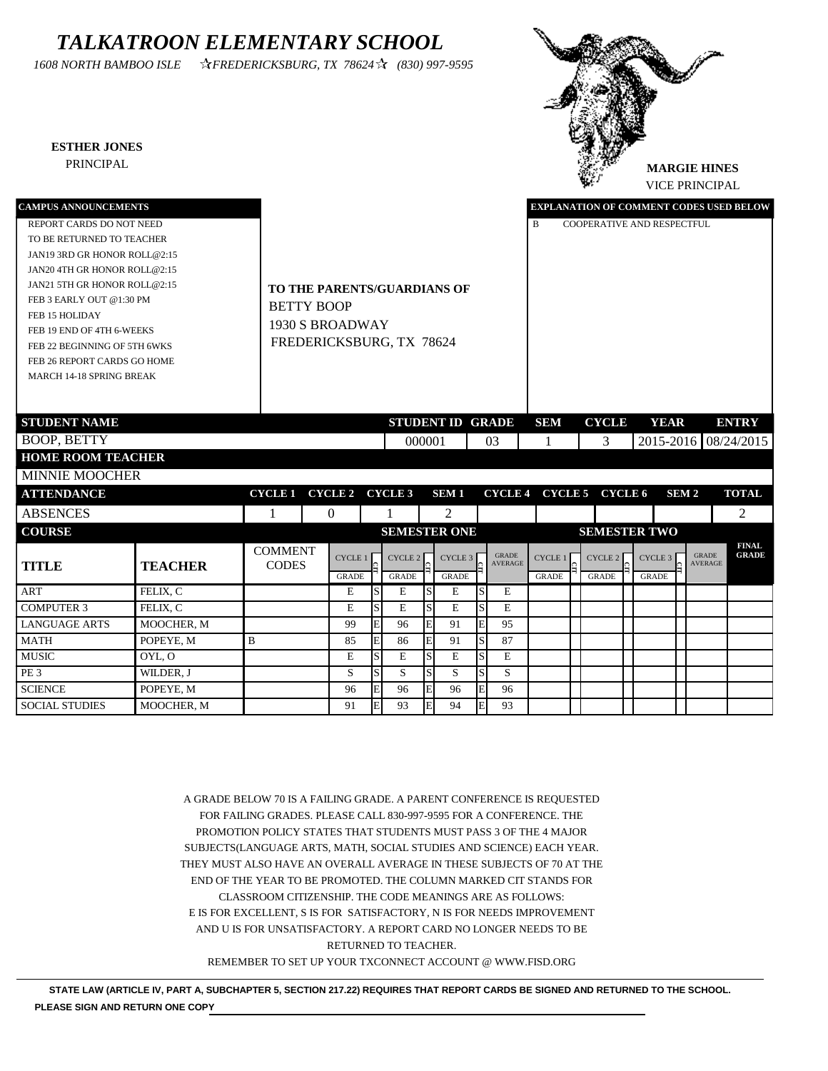## *TALKATROON ELEMENTARY SCHOOL*

*1608 NORTH BAMBOO ISLE FREDERICKSBURG, TX 78624 (830) 997-9595*

SCIENCE POPEYE, M 96 E 96 E 96 E 96 SOCIAL STUDIES MOOCHER, M 91 E 93 E 94 E 93

#### **ESTHER JONES**



| <b>CAMPUS ANNOUNCEMENTS</b>     |                |                   |                                    |              |                         |              |                    |   |                |              |                         | <b>EXPLANATION OF COMMENT CODES USED BELOW</b> |                  |                |                              |
|---------------------------------|----------------|-------------------|------------------------------------|--------------|-------------------------|--------------|--------------------|---|----------------|--------------|-------------------------|------------------------------------------------|------------------|----------------|------------------------------|
| REPORT CARDS DO NOT NEED        |                |                   |                                    |              |                         |              |                    |   |                | B            |                         | COOPERATIVE AND RESPECTFUL                     |                  |                |                              |
| TO BE RETURNED TO TEACHER       |                |                   |                                    |              |                         |              |                    |   |                |              |                         |                                                |                  |                |                              |
| JAN19 3RD GR HONOR ROLL@2:15    |                |                   |                                    |              |                         |              |                    |   |                |              |                         |                                                |                  |                |                              |
| JAN20 4TH GR HONOR ROLL@2:15    |                |                   |                                    |              |                         |              |                    |   |                |              |                         |                                                |                  |                |                              |
| JAN21 5TH GR HONOR ROLL@2:15    |                |                   | <b>TO THE PARENTS/GUARDIANS OF</b> |              |                         |              |                    |   |                |              |                         |                                                |                  |                |                              |
| FEB 3 EARLY OUT @1:30 PM        |                | <b>BETTY BOOP</b> |                                    |              |                         |              |                    |   |                |              |                         |                                                |                  |                |                              |
| FEB 15 HOLIDAY                  |                |                   |                                    |              |                         |              |                    |   |                |              |                         |                                                |                  |                |                              |
| FEB 19 END OF 4TH 6-WEEKS       |                |                   | 1930 S BROADWAY                    |              |                         |              |                    |   |                |              |                         |                                                |                  |                |                              |
| FEB 22 BEGINNING OF 5TH 6WKS    |                |                   | FREDERICKSBURG, TX 78624           |              |                         |              |                    |   |                |              |                         |                                                |                  |                |                              |
| FEB 26 REPORT CARDS GO HOME     |                |                   |                                    |              |                         |              |                    |   |                |              |                         |                                                |                  |                |                              |
| <b>MARCH 14-18 SPRING BREAK</b> |                |                   |                                    |              |                         |              |                    |   |                |              |                         |                                                |                  |                |                              |
|                                 |                |                   |                                    |              |                         |              |                    |   |                |              |                         |                                                |                  |                |                              |
|                                 |                |                   |                                    |              |                         |              |                    |   |                |              |                         |                                                |                  |                |                              |
| <b>STUDENT NAME</b>             |                |                   |                                    |              | <b>STUDENT ID GRADE</b> |              |                    |   |                | <b>SEM</b>   | <b>CYCLE</b>            | <b>YEAR</b>                                    |                  |                | <b>ENTRY</b>                 |
| <b>BOOP, BETTY</b>              |                |                   |                                    |              | 000001                  |              |                    |   | 03             |              | 3                       | 2015-2016 08/24/2015                           |                  |                |                              |
| <b>HOME ROOM TEACHER</b>        |                |                   |                                    |              |                         |              |                    |   |                |              |                         |                                                |                  |                |                              |
| <b>MINNIE MOOCHER</b>           |                |                   |                                    |              |                         |              |                    |   |                |              |                         |                                                |                  |                |                              |
| <b>ATTENDANCE</b>               |                | <b>CYCLE 1</b>    | CYCLE 2 CYCLE 3                    |              |                         |              | <b>SEM1</b>        |   |                |              | CYCLE 4 CYCLE 5 CYCLE 6 |                                                | SEM <sub>2</sub> |                | <b>TOTAL</b>                 |
| <b>ABSENCES</b>                 |                |                   | $\overline{0}$                     |              |                         |              | 2                  |   |                |              |                         |                                                |                  |                | 2                            |
| <b>COURSE</b>                   |                |                   |                                    |              | <b>SEMESTER ONE</b>     |              |                    |   |                |              |                         | <b>SEMESTER TWO</b>                            |                  |                |                              |
|                                 |                | <b>COMMENT</b>    |                                    |              |                         |              |                    |   | <b>GRADE</b>   |              |                         |                                                |                  | <b>GRADE</b>   | <b>FINAL</b><br><b>GRADE</b> |
| <b>TITLE</b>                    | <b>TEACHER</b> | <b>CODES</b>      | <b>CYCLE1</b>                      |              | CYCLE <sub>2</sub>      |              | CYCLE <sub>3</sub> |   | <b>AVERAGE</b> | CYCLE 1      | CYCLE 2                 | CYCLE <sub>3</sub>                             |                  | <b>AVERAGE</b> |                              |
|                                 |                |                   | <b>GRADE</b>                       |              | <b>GRADE</b>            |              | <b>GRADE</b>       |   |                | <b>GRADE</b> | <b>GRADE</b>            | <b>GRADE</b>                                   |                  |                |                              |
| <b>ART</b>                      | FELIX, C       |                   | E                                  | S            | E                       |              | E                  | S | E              |              |                         |                                                |                  |                |                              |
| <b>COMPUTER 3</b>               | FELIX, C       |                   | E                                  | S            | E                       | <sub>S</sub> | E                  | S | $\mathbf E$    |              |                         |                                                |                  |                |                              |
| <b>LANGUAGE ARTS</b>            | MOOCHER, M     |                   | 99                                 |              | 96                      |              | 91                 | E | 95             |              |                         |                                                |                  |                |                              |
| <b>MATH</b>                     | POPEYE, M      | B                 | 85                                 | E            | 86                      | E            | 91                 | S | 87             |              |                         |                                                |                  |                |                              |
| <b>MUSIC</b>                    | OYL, O         |                   | E                                  | S            | E                       |              | E                  | S | E              |              |                         |                                                |                  |                |                              |
| PE <sub>3</sub>                 | WILDER, J      |                   | S                                  | <sub>S</sub> | S                       | <sub>S</sub> | S                  | S | S              |              |                         |                                                |                  |                |                              |

A GRADE BELOW 70 IS A FAILING GRADE. A PARENT CONFERENCE IS REQUESTED FOR FAILING GRADES. PLEASE CALL 830-997-9595 FOR A CONFERENCE. THE PROMOTION POLICY STATES THAT STUDENTS MUST PASS 3 OF THE 4 MAJOR SUBJECTS(LANGUAGE ARTS, MATH, SOCIAL STUDIES AND SCIENCE) EACH YEAR. THEY MUST ALSO HAVE AN OVERALL AVERAGE IN THESE SUBJECTS OF 70 AT THE END OF THE YEAR TO BE PROMOTED. THE COLUMN MARKED CIT STANDS FOR CLASSROOM CITIZENSHIP. THE CODE MEANINGS ARE AS FOLLOWS: E IS FOR EXCELLENT, S IS FOR SATISFACTORY, N IS FOR NEEDS IMPROVEMENT AND U IS FOR UNSATISFACTORY. A REPORT CARD NO LONGER NEEDS TO BE RETURNED TO TEACHER. REMEMBER TO SET UP YOUR TXCONNECT ACCOUNT @ WWW.FISD.ORG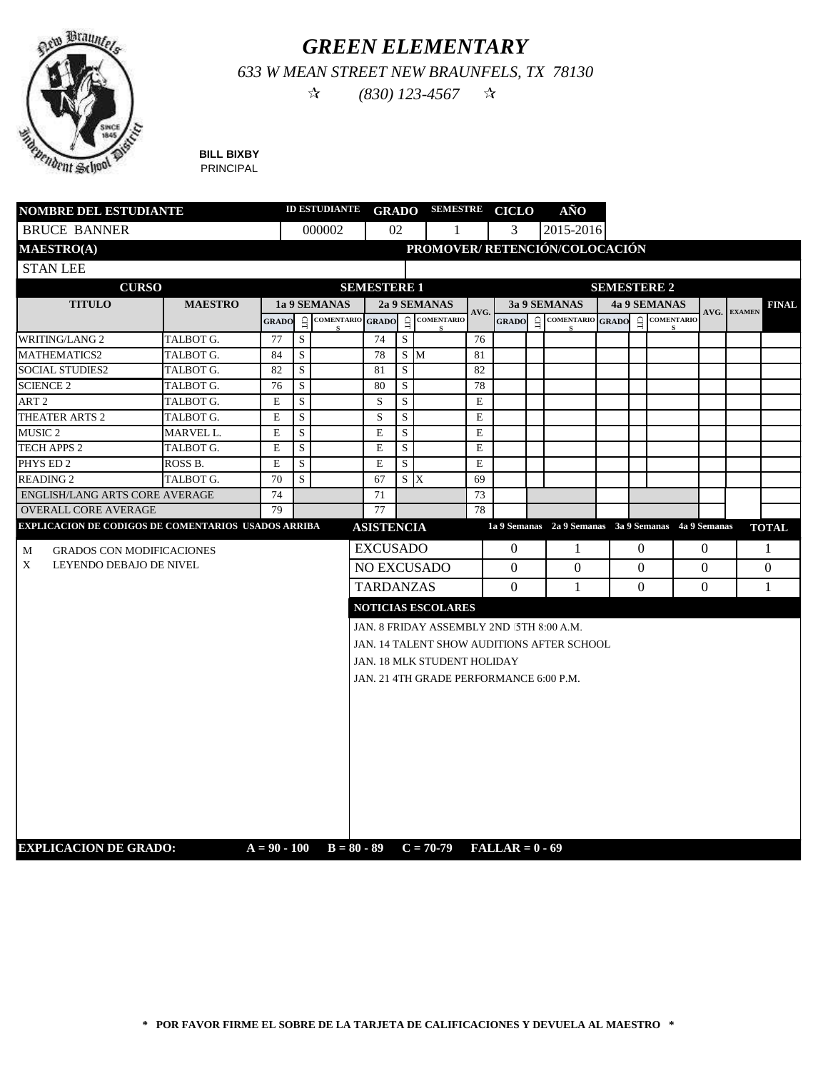

## *GREEN ELEMENTARY*

*633 W MEAN STREET NEW BRAUNFELS, TX 78130*

 $\hat{x}$  (830) 123-4567  $\hat{x}$ 

**BILL BIXBY** PRINCIPAL

| <b>NOMBRE DEL ESTUDIANTE</b>                        |                |                | ID ESTUDIANTE GRADO SEMESTRE CICLO |                   |                    |     |                                               |      |              | AÑO                                                 |          |                    |          |             |              |
|-----------------------------------------------------|----------------|----------------|------------------------------------|-------------------|--------------------|-----|-----------------------------------------------|------|--------------|-----------------------------------------------------|----------|--------------------|----------|-------------|--------------|
| <b>BRUCE BANNER</b>                                 |                |                |                                    | 000002            | 02                 |     | 1                                             |      | 3            | 2015-2016                                           |          |                    |          |             |              |
| <b>MAESTRO(A)</b>                                   |                |                |                                    |                   |                    |     | PROMOVER/ RETENCIÓN/COLOCACIÓN                |      |              |                                                     |          |                    |          |             |              |
| <b>STAN LEE</b>                                     |                |                |                                    |                   |                    |     |                                               |      |              |                                                     |          |                    |          |             |              |
| <b>CURSO</b>                                        |                |                |                                    |                   | <b>SEMESTERE 1</b> |     |                                               |      |              |                                                     |          | <b>SEMESTERE 2</b> |          |             |              |
| <b>TITULO</b>                                       | <b>MAESTRO</b> |                |                                    | 1a 9 SEMANAS      |                    |     | 2a 9 SEMANAS                                  |      |              | 3a 9 SEMANAS                                        |          | 4a 9 SEMANAS       |          |             | <b>FINAL</b> |
|                                                     |                | <b>GRADO</b>   | $\Xi$                              | <b>COMENTARIO</b> | <b>GRADO</b>       |     | $\lim_{c}$ COMENTARIO                         | AVG. | <b>GRADO</b> | $\frac{1}{2}$ COMENTARIO GRADO                      | $\Xi$    | <b>COMENTARIO</b>  |          | AVG. EXAMEN |              |
| <b>WRITING/LANG 2</b>                               | TALBOT G.      | 77             | S                                  | s                 | 74                 | S   |                                               | 76   |              |                                                     |          |                    |          |             |              |
| <b>MATHEMATICS2</b>                                 | TALBOT G.      | 84             | S                                  |                   | 78                 |     | S M                                           | 81   |              |                                                     |          |                    |          |             |              |
| <b>SOCIAL STUDIES2</b>                              | TALBOT G.      | 82             | S                                  |                   | 81                 | S   |                                               | 82   |              |                                                     |          |                    |          |             |              |
| <b>SCIENCE 2</b>                                    | TALBOT G.      | 76             | S                                  |                   | 80                 | S   |                                               | 78   |              |                                                     |          |                    |          |             |              |
| ART <sub>2</sub>                                    | TALBOT G.      | E              | S                                  |                   | S                  | S   |                                               | E    |              |                                                     |          |                    |          |             |              |
| THEATER ARTS 2                                      | TALBOT G.      | $\mathbf E$    | S                                  |                   | S                  | S   |                                               | E    |              |                                                     |          |                    |          |             |              |
| <b>MUSIC 2</b>                                      | MARVEL L.      | E              | S                                  |                   | E                  | S   |                                               | E    |              |                                                     |          |                    |          |             |              |
| <b>TECH APPS 2</b>                                  | TALBOT G.      | E              | S                                  |                   | $\mathbf E$        | S   |                                               | E    |              |                                                     |          |                    |          |             |              |
| PHYS ED 2                                           | ROSS B.        | E              | S                                  |                   | Е                  | S   |                                               | E    |              |                                                     |          |                    |          |             |              |
| <b>READING 2</b>                                    | TALBOT G.      | 70             | S                                  |                   | 67                 | S X |                                               | 69   |              |                                                     |          |                    |          |             |              |
| ENGLISH/LANG ARTS CORE AVERAGE                      |                | 74             |                                    |                   | 71                 |     |                                               | 73   |              |                                                     |          |                    |          |             |              |
| <b>OVERALL CORE AVERAGE</b>                         |                | 79             |                                    |                   | 77                 |     |                                               | 78   |              |                                                     |          |                    |          |             |              |
| EXPLICACION DE CODIGOS DE COMENTARIOS USADOS ARRIBA |                |                |                                    |                   | <b>ASISTENCIA</b>  |     |                                               |      |              | 1a 9 Semanas 2a 9 Semanas 3a 9 Semanas 4a 9 Semanas |          |                    |          |             | <b>TOTAL</b> |
| <b>GRADOS CON MODIFICACIONES</b><br>M               |                |                |                                    |                   | <b>EXCUSADO</b>    |     |                                               |      | $\theta$     | -1                                                  | $\theta$ |                    | $\Omega$ |             | 1            |
| X<br>LEYENDO DEBAJO DE NIVEL                        |                |                |                                    |                   |                    |     | <b>NO EXCUSADO</b>                            |      | $\Omega$     | $\Omega$                                            | $\Omega$ |                    | $\Omega$ |             | $\Omega$     |
|                                                     |                |                |                                    |                   | <b>TARDANZAS</b>   |     |                                               |      | $\Omega$     | -1                                                  | $\Omega$ |                    | $\Omega$ |             | $\mathbf{1}$ |
|                                                     |                |                |                                    |                   |                    |     |                                               |      |              |                                                     |          |                    |          |             |              |
|                                                     |                |                |                                    |                   |                    |     | <b>NOTICIAS ESCOLARES</b>                     |      |              |                                                     |          |                    |          |             |              |
|                                                     |                |                |                                    |                   |                    |     | JAN. 8 FRIDAY ASSEMBLY 2ND 5TH 8:00 A.M.      |      |              |                                                     |          |                    |          |             |              |
|                                                     |                |                |                                    |                   |                    |     | JAN. 14 TALENT SHOW AUDITIONS AFTER SCHOOL    |      |              |                                                     |          |                    |          |             |              |
|                                                     |                |                |                                    |                   |                    |     | JAN. 18 MLK STUDENT HOLIDAY                   |      |              |                                                     |          |                    |          |             |              |
|                                                     |                |                |                                    |                   |                    |     | JAN. 21 4TH GRADE PERFORMANCE 6:00 P.M.       |      |              |                                                     |          |                    |          |             |              |
|                                                     |                |                |                                    |                   |                    |     |                                               |      |              |                                                     |          |                    |          |             |              |
|                                                     |                |                |                                    |                   |                    |     |                                               |      |              |                                                     |          |                    |          |             |              |
|                                                     |                |                |                                    |                   |                    |     |                                               |      |              |                                                     |          |                    |          |             |              |
|                                                     |                |                |                                    |                   |                    |     |                                               |      |              |                                                     |          |                    |          |             |              |
|                                                     |                |                |                                    |                   |                    |     |                                               |      |              |                                                     |          |                    |          |             |              |
|                                                     |                |                |                                    |                   |                    |     |                                               |      |              |                                                     |          |                    |          |             |              |
|                                                     |                |                |                                    |                   |                    |     |                                               |      |              |                                                     |          |                    |          |             |              |
|                                                     |                |                |                                    |                   |                    |     |                                               |      |              |                                                     |          |                    |          |             |              |
|                                                     |                |                |                                    |                   |                    |     |                                               |      |              |                                                     |          |                    |          |             |              |
|                                                     |                |                |                                    |                   |                    |     |                                               |      |              |                                                     |          |                    |          |             |              |
| <b>EXPLICACION DE GRADO:</b>                        |                | $A = 90 - 100$ |                                    |                   |                    |     | $B = 80 - 89$ $C = 70 - 79$ $FALLAR = 0 - 69$ |      |              |                                                     |          |                    |          |             |              |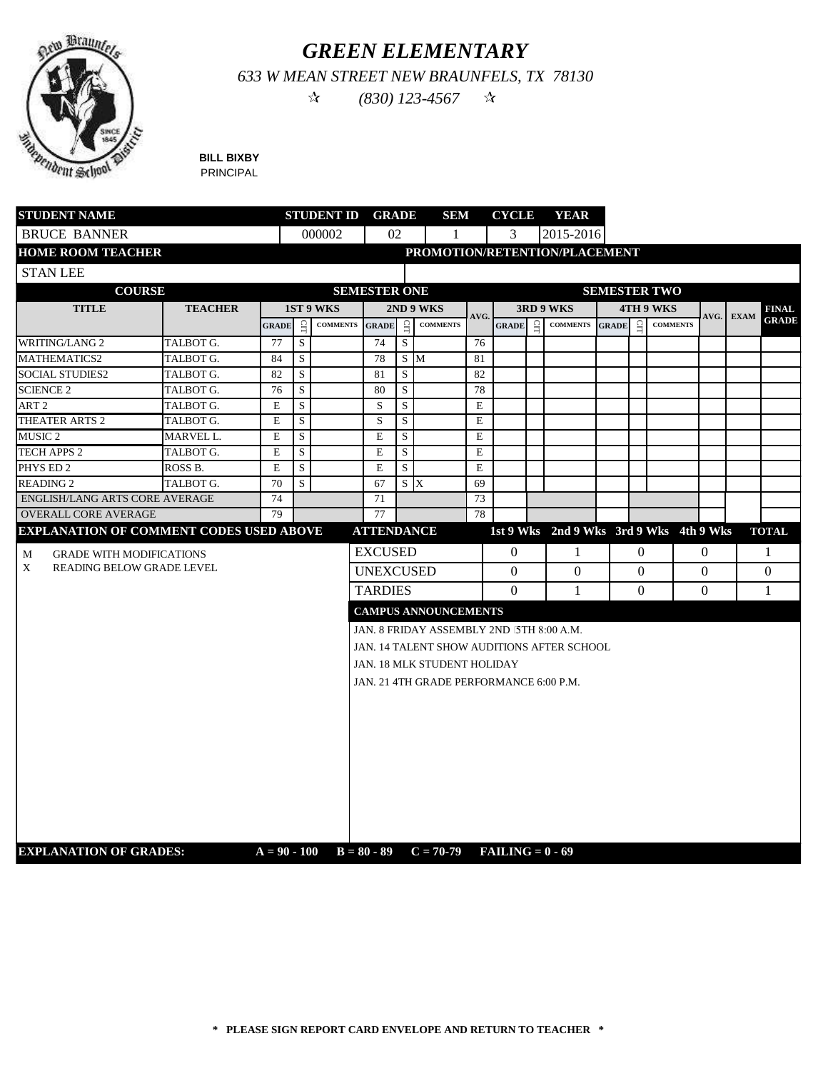

## *GREEN ELEMENTARY*

*633 W MEAN STREET NEW BRAUNFELS, TX 78130*

 $\hat{X}$  (830) 123-4567  $\hat{X}$ 

**BILL BIXBY** PRINCIPAL

| <b>STUDENT NAME</b>                            |                | <b>STUDENT ID GRADE</b> |             |                 |                     |             | SEM                                        |             | <b>CYCLE</b>       |          | <b>YEAR</b>     |              |                |                                         |                |             |              |
|------------------------------------------------|----------------|-------------------------|-------------|-----------------|---------------------|-------------|--------------------------------------------|-------------|--------------------|----------|-----------------|--------------|----------------|-----------------------------------------|----------------|-------------|--------------|
| <b>BRUCE BANNER</b>                            |                |                         |             | 000002          | 02                  |             | 1                                          |             | 3                  |          | 2015-2016       |              |                |                                         |                |             |              |
| <b>HOME ROOM TEACHER</b>                       |                |                         |             |                 |                     |             | PROMOTION/RETENTION/PLACEMENT              |             |                    |          |                 |              |                |                                         |                |             |              |
| <b>STAN LEE</b>                                |                |                         |             |                 |                     |             |                                            |             |                    |          |                 |              |                |                                         |                |             |              |
| <b>COURSE</b>                                  |                |                         |             |                 | <b>SEMESTER ONE</b> |             |                                            |             |                    |          |                 |              |                | <b>SEMESTER TWO</b>                     |                |             |              |
| <b>TITLE</b>                                   | <b>TEACHER</b> |                         |             | 1ST 9 WKS       |                     |             | 2ND 9 WKS                                  |             |                    |          | 3RD 9 WKS       |              |                | 4TH 9 WKS                               |                |             | <b>FINAL</b> |
|                                                |                | <b>GRADE</b>            | $\Xi$       | <b>COMMENTS</b> | <b>GRADE</b>        | $\Xi$       | <b>COMMENTS</b>                            | AVG.        | <b>GRADE</b>       | $\Omega$ | <b>COMMENTS</b> | <b>GRADE</b> | $\mathbf{G}$   | <b>COMMENTS</b>                         | AVG.           | <b>EXAM</b> | <b>GRADE</b> |
| <b>WRITING/LANG 2</b>                          | TALBOT G.      | 77                      | $\mathbf S$ |                 | 74                  | $\mathbf S$ |                                            | 76          |                    |          |                 |              |                |                                         |                |             |              |
| <b>MATHEMATICS2</b>                            | TALBOT G.      | 84                      | $\mathbf S$ |                 | 78                  |             | S M                                        | 81          |                    |          |                 |              |                |                                         |                |             |              |
| <b>SOCIAL STUDIES2</b>                         | TALBOT G.      | 82                      | $\mathbf S$ |                 | 81                  | ${\bf S}$   |                                            | 82          |                    |          |                 |              |                |                                         |                |             |              |
| <b>SCIENCE 2</b>                               | TALBOT G.      | 76                      | S           |                 | 80                  | S           |                                            | 78          |                    |          |                 |              |                |                                         |                |             |              |
| ART <sub>2</sub>                               | TALBOT G.      | E                       | S           |                 | S                   | S           |                                            | E           |                    |          |                 |              |                |                                         |                |             |              |
| THEATER ARTS 2                                 | TALBOT G.      | E                       | S           |                 | S                   | $\mathbf S$ |                                            | $\mathbf E$ |                    |          |                 |              |                |                                         |                |             |              |
| MUSIC <sub>2</sub>                             | MARVEL L.      | E                       | S           |                 | E                   | S           |                                            | $\mathbf E$ |                    |          |                 |              |                |                                         |                |             |              |
| <b>TECH APPS 2</b>                             | TALBOT G.      | $\mathbf E$             | S           |                 | $\mathbf E$         | S           |                                            | $\mathbf E$ |                    |          |                 |              |                |                                         |                |             |              |
| PHYS ED 2                                      | ROSS B.        | E                       | S           |                 | E                   | S           |                                            | E           |                    |          |                 |              |                |                                         |                |             |              |
| <b>READING 2</b>                               | TALBOT G.      | 70                      | S           |                 | 67                  | $S \times$  |                                            | 69          |                    |          |                 |              |                |                                         |                |             |              |
| <b>ENGLISH/LANG ARTS CORE AVERAGE</b>          |                | 74                      |             |                 | 71                  |             |                                            | 73          |                    |          |                 |              |                |                                         |                |             |              |
| <b>OVERALL CORE AVERAGE</b>                    |                | 79                      |             |                 | 77                  |             |                                            | 78          |                    |          |                 |              |                |                                         |                |             |              |
| <b>EXPLANATION OF COMMENT CODES USED ABOVE</b> |                |                         |             |                 | <b>ATTENDANCE</b>   |             |                                            |             |                    |          |                 |              |                | 1st 9 Wks 2nd 9 Wks 3rd 9 Wks 4th 9 Wks |                |             | <b>TOTAL</b> |
| <b>GRADE WITH MODIFICATIONS</b><br>М           |                |                         |             |                 | <b>EXCUSED</b>      |             |                                            |             | $\overline{0}$     |          | 1               |              | $\overline{0}$ |                                         | $\overline{0}$ |             | -1           |
| X<br><b>READING BELOW GRADE LEVEL</b>          |                |                         |             |                 | <b>UNEXCUSED</b>    |             |                                            |             | $\Omega$           |          | $\mathbf{0}$    |              | $\Omega$       |                                         | $\Omega$       |             | $\Omega$     |
|                                                |                |                         |             |                 | <b>TARDIES</b>      |             |                                            |             | $\Omega$           |          | 1               |              | $\Omega$       |                                         | $\Omega$       |             | 1            |
|                                                |                |                         |             |                 |                     |             |                                            |             |                    |          |                 |              |                |                                         |                |             |              |
|                                                |                |                         |             |                 |                     |             | <b>CAMPUS ANNOUNCEMENTS</b>                |             |                    |          |                 |              |                |                                         |                |             |              |
|                                                |                |                         |             |                 |                     |             | JAN. 8 FRIDAY ASSEMBLY 2ND 5TH 8:00 A.M.   |             |                    |          |                 |              |                |                                         |                |             |              |
|                                                |                |                         |             |                 |                     |             | JAN. 14 TALENT SHOW AUDITIONS AFTER SCHOOL |             |                    |          |                 |              |                |                                         |                |             |              |
|                                                |                |                         |             |                 |                     |             | JAN. 18 MLK STUDENT HOLIDAY                |             |                    |          |                 |              |                |                                         |                |             |              |
|                                                |                |                         |             |                 |                     |             | JAN. 21 4TH GRADE PERFORMANCE 6:00 P.M.    |             |                    |          |                 |              |                |                                         |                |             |              |
|                                                |                |                         |             |                 |                     |             |                                            |             |                    |          |                 |              |                |                                         |                |             |              |
|                                                |                |                         |             |                 |                     |             |                                            |             |                    |          |                 |              |                |                                         |                |             |              |
|                                                |                |                         |             |                 |                     |             |                                            |             |                    |          |                 |              |                |                                         |                |             |              |
|                                                |                |                         |             |                 |                     |             |                                            |             |                    |          |                 |              |                |                                         |                |             |              |
|                                                |                |                         |             |                 |                     |             |                                            |             |                    |          |                 |              |                |                                         |                |             |              |
|                                                |                |                         |             |                 |                     |             |                                            |             |                    |          |                 |              |                |                                         |                |             |              |
|                                                |                |                         |             |                 |                     |             |                                            |             |                    |          |                 |              |                |                                         |                |             |              |
|                                                |                |                         |             |                 |                     |             |                                            |             |                    |          |                 |              |                |                                         |                |             |              |
|                                                |                |                         |             |                 |                     |             |                                            |             |                    |          |                 |              |                |                                         |                |             |              |
|                                                |                |                         |             |                 |                     |             |                                            |             |                    |          |                 |              |                |                                         |                |             |              |
| <b>EXPLANATION OF GRADES:</b>                  |                | $A = 90 - 100$          |             |                 |                     |             | $B = 80 - 89$ $C = 70-79$                  |             | $FAILING = 0 - 69$ |          |                 |              |                |                                         |                |             |              |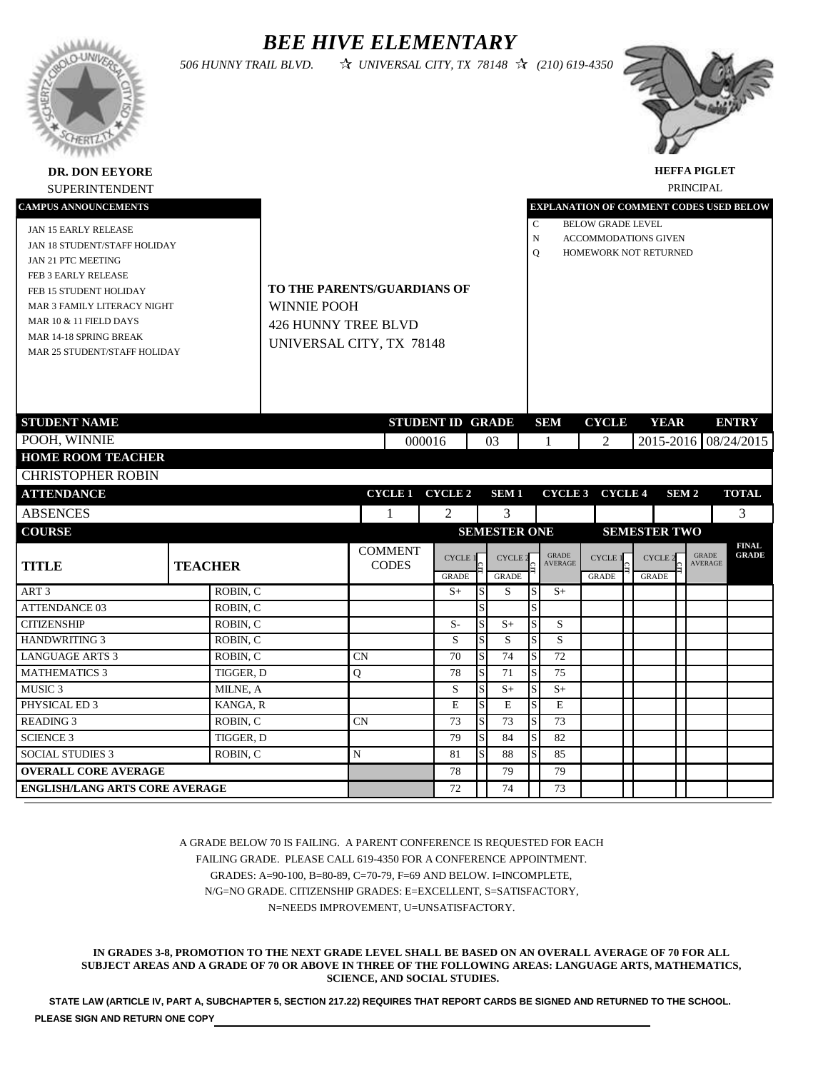### *BEE HIVE ELEMENTARY*

*506 HUNNY TRAIL BLVD. UNIVERSAL CITY, TX 78148 (210) 619-4350*





**HEFFA PIGLET**

 $\perp$ 

| <b>SUPERINTENDENT</b>                                                                                                                                                                                                                                 |                       |                                                                                                             |                                |        |                                |               |                                |                        |                                                |                                                                                  |                                |                  | PRINCIPAL                      |                              |
|-------------------------------------------------------------------------------------------------------------------------------------------------------------------------------------------------------------------------------------------------------|-----------------------|-------------------------------------------------------------------------------------------------------------|--------------------------------|--------|--------------------------------|---------------|--------------------------------|------------------------|------------------------------------------------|----------------------------------------------------------------------------------|--------------------------------|------------------|--------------------------------|------------------------------|
| <b>CAMPUS ANNOUNCEMENTS</b>                                                                                                                                                                                                                           |                       |                                                                                                             |                                |        |                                |               |                                |                        | <b>EXPLANATION OF COMMENT CODES USED BELOW</b> |                                                                                  |                                |                  |                                |                              |
| JAN 15 EARLY RELEASE<br>JAN 18 STUDENT/STAFF HOLIDAY<br>JAN 21 PTC MEETING<br>FEB 3 EARLY RELEASE<br>FEB 15 STUDENT HOLIDAY<br>MAR 3 FAMILY LITERACY NIGHT<br>MAR 10 & 11 FIELD DAYS<br><b>MAR 14-18 SPRING BREAK</b><br>MAR 25 STUDENT/STAFF HOLIDAY |                       | TO THE PARENTS/GUARDIANS OF<br><b>WINNIE POOH</b><br><b>426 HUNNY TREE BLVD</b><br>UNIVERSAL CITY, TX 78148 |                                |        |                                |               |                                | C<br>N<br>$\mathbf{O}$ |                                                | <b>BELOW GRADE LEVEL</b><br><b>ACCOMMODATIONS GIVEN</b><br>HOMEWORK NOT RETURNED |                                |                  |                                |                              |
| <b>STUDENT NAME</b>                                                                                                                                                                                                                                   |                       |                                                                                                             |                                |        | <b>STUDENT ID GRADE</b>        |               |                                |                        | <b>SEM</b>                                     | <b>CYCLE</b>                                                                     | <b>YEAR</b>                    |                  |                                | <b>ENTRY</b>                 |
| POOH, WINNIE                                                                                                                                                                                                                                          |                       |                                                                                                             |                                | 000016 |                                |               | 03                             |                        | 1                                              | 2                                                                                |                                |                  |                                | 2015-2016 08/24/2015         |
| <b>HOME ROOM TEACHER</b>                                                                                                                                                                                                                              |                       |                                                                                                             |                                |        |                                |               |                                |                        |                                                |                                                                                  |                                |                  |                                |                              |
| <b>CHRISTOPHER ROBIN</b>                                                                                                                                                                                                                              |                       |                                                                                                             |                                |        |                                |               |                                |                        |                                                |                                                                                  |                                |                  |                                |                              |
| <b>ATTENDANCE</b>                                                                                                                                                                                                                                     |                       |                                                                                                             |                                |        | CYCLE 1 CYCLE 2                |               | SEM <sub>1</sub>               |                        | CYCLE 3 CYCLE 4                                |                                                                                  |                                | SEM <sub>2</sub> |                                | <b>TOTAL</b>                 |
| <b>ABSENCES</b>                                                                                                                                                                                                                                       |                       |                                                                                                             | 1                              |        | 2                              |               | 3                              |                        |                                                |                                                                                  |                                |                  |                                | 3                            |
| <b>COURSE</b>                                                                                                                                                                                                                                         |                       |                                                                                                             |                                |        |                                |               | <b>SEMESTER ONE</b>            |                        |                                                |                                                                                  | <b>SEMESTER TWO</b>            |                  |                                |                              |
| <b>TITLE</b>                                                                                                                                                                                                                                          | <b>TEACHER</b>        |                                                                                                             | <b>COMMENT</b><br><b>CODES</b> |        | <b>CYCLE 1</b><br><b>GRADE</b> |               | <b>CYCLE 2</b><br><b>GRADE</b> |                        | <b>GRADE</b><br><b>AVERAGE</b>                 | <b>CYCLE1</b><br><b>GRADE</b>                                                    | <b>CYCLE 2</b><br><b>GRADE</b> |                  | <b>GRADE</b><br><b>AVERAGE</b> | <b>FINAL</b><br><b>GRADE</b> |
| ART <sub>3</sub>                                                                                                                                                                                                                                      | ROBIN, C              |                                                                                                             |                                |        | $S+$                           | S             | S                              | S                      | $S+$                                           |                                                                                  |                                |                  |                                |                              |
| <b>ATTENDANCE 03</b>                                                                                                                                                                                                                                  | ROBIN, C              |                                                                                                             |                                |        |                                | S             |                                |                        |                                                |                                                                                  |                                |                  |                                |                              |
| <b>CITIZENSHIP</b>                                                                                                                                                                                                                                    | ROBIN, C              |                                                                                                             |                                |        | $S-$                           | S             | $S+$                           | S                      | S                                              |                                                                                  |                                |                  |                                |                              |
| <b>HANDWRITING 3</b>                                                                                                                                                                                                                                  | ROBIN, C              |                                                                                                             |                                |        | S                              | S             | S                              | S                      | S                                              |                                                                                  |                                |                  |                                |                              |
| <b>LANGUAGE ARTS 3</b>                                                                                                                                                                                                                                | ROBIN, C              |                                                                                                             | <b>CN</b>                      |        | 70                             | $S_{\text{}}$ | 74                             | S                      | $\overline{72}$                                |                                                                                  |                                |                  |                                |                              |
| <b>MATHEMATICS 3</b><br>MUSIC <sub>3</sub>                                                                                                                                                                                                            | TIGGER, D<br>MILNE, A |                                                                                                             | Q                              |        | 78<br>S                        | S<br>S        | 71<br>$S+$                     |                        | 75<br>$S+$                                     |                                                                                  |                                |                  |                                |                              |
| PHYSICAL ED 3                                                                                                                                                                                                                                         | KANGA, R              |                                                                                                             |                                |        | $\mathbf E$                    | S             | E                              | S                      | E                                              |                                                                                  |                                |                  |                                |                              |
| <b>READING 3</b>                                                                                                                                                                                                                                      | ROBIN, C              |                                                                                                             | CN                             |        | 73                             | S             | 73                             | S                      | 73                                             |                                                                                  |                                |                  |                                |                              |
| <b>SCIENCE 3</b>                                                                                                                                                                                                                                      | TIGGER, D             |                                                                                                             |                                |        | 79                             | S             | 84                             |                        | 82                                             |                                                                                  |                                |                  |                                |                              |
| <b>SOCIAL STUDIES 3</b>                                                                                                                                                                                                                               | ROBIN, C              |                                                                                                             | $\mathbf N$                    |        | 81                             | S             | 88                             | S                      | 85                                             |                                                                                  |                                |                  |                                |                              |
| <b>OVERALL CORE AVERAGE</b>                                                                                                                                                                                                                           |                       |                                                                                                             |                                |        | 78                             |               | 79                             |                        | 79                                             |                                                                                  |                                |                  |                                |                              |
| <b>ENGLISH/LANG ARTS CORE AVERAGE</b>                                                                                                                                                                                                                 |                       |                                                                                                             |                                |        | 72                             |               | 74                             |                        | 73                                             |                                                                                  |                                |                  |                                |                              |

A GRADE BELOW 70 IS FAILING. A PARENT CONFERENCE IS REQUESTED FOR EACH FAILING GRADE. PLEASE CALL 619-4350 FOR A CONFERENCE APPOINTMENT. GRADES: A=90-100, B=80-89, C=70-79, F=69 AND BELOW. I=INCOMPLETE, N/G=NO GRADE. CITIZENSHIP GRADES: E=EXCELLENT, S=SATISFACTORY, N=NEEDS IMPROVEMENT, U=UNSATISFACTORY.

**IN GRADES 3-8, PROMOTION TO THE NEXT GRADE LEVEL SHALL BE BASED ON AN OVERALL AVERAGE OF 70 FOR ALL SUBJECT AREAS AND A GRADE OF 70 OR ABOVE IN THREE OF THE FOLLOWING AREAS: LANGUAGE ARTS, MATHEMATICS, SCIENCE, AND SOCIAL STUDIES.**